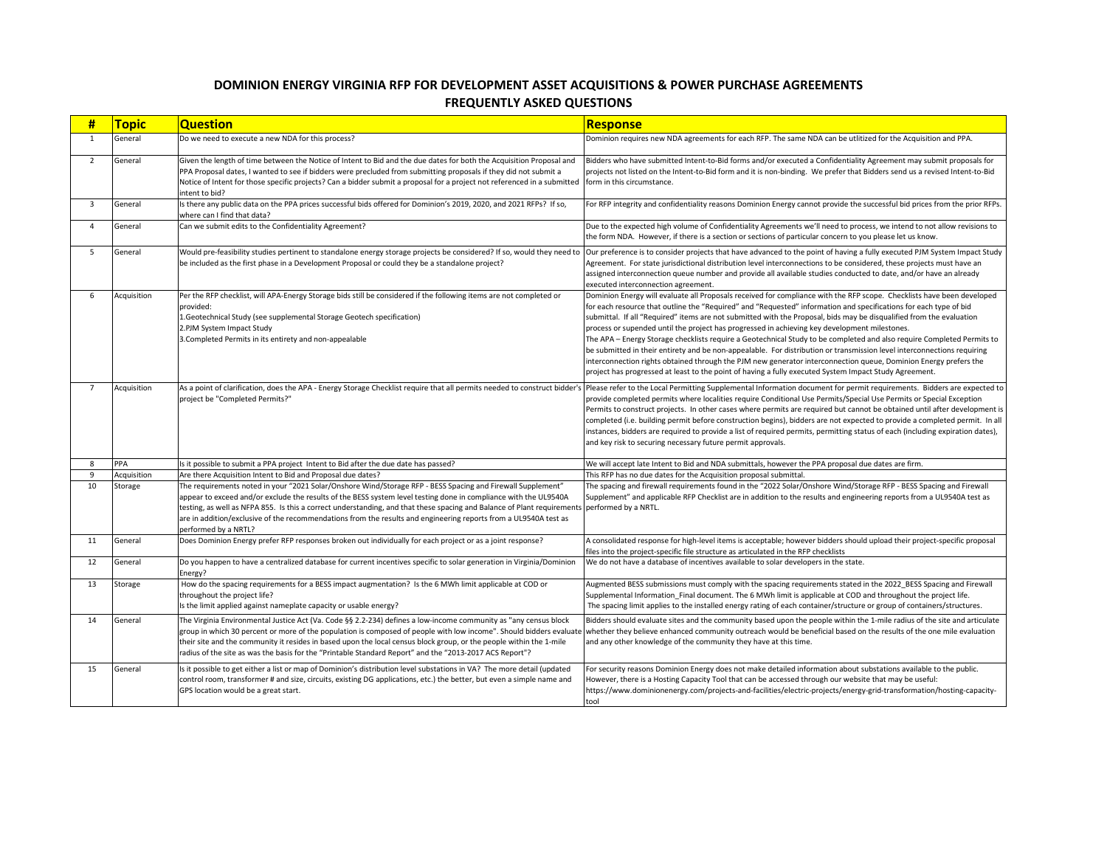| #              | <u>Topic</u>   | <b>Question</b>                                                                                                                                                                                                                                                                                                                                                                                                                                                                                        | <b>Response</b>                                                                                                                                             |
|----------------|----------------|--------------------------------------------------------------------------------------------------------------------------------------------------------------------------------------------------------------------------------------------------------------------------------------------------------------------------------------------------------------------------------------------------------------------------------------------------------------------------------------------------------|-------------------------------------------------------------------------------------------------------------------------------------------------------------|
| 1              | General        | Do we need to execute a new NDA for this process?                                                                                                                                                                                                                                                                                                                                                                                                                                                      | Dominion requir                                                                                                                                             |
| $\overline{2}$ | <b>General</b> | Given the length of time between the Notice of Intent to Bid and the due dates for both the Acquisition Proposal and<br>PPA Proposal dates, I wanted to see if bidders were precluded from submitting proposals if they did not submit a<br>Notice of Intent for those specific projects? Can a bidder submit a proposal for a project not referenced in a submitted<br>intent to bid?                                                                                                                 | Bidders who hav<br>projects not liste<br>form in this circu                                                                                                 |
| $\mathbf{3}$   | General        | Is there any public data on the PPA prices successful bids offered for Dominion's 2019, 2020, and 2021 RFPs? If so,<br>where can I find that data?                                                                                                                                                                                                                                                                                                                                                     | For RFP integrity                                                                                                                                           |
| $\overline{4}$ | General        | Can we submit edits to the Confidentiality Agreement?                                                                                                                                                                                                                                                                                                                                                                                                                                                  | Due to the exper<br>the form NDA. H                                                                                                                         |
| 5              | General        | Would pre-feasibility studies pertinent to standalone energy storage projects be considered? If so, would they need to<br>be included as the first phase in a Development Proposal or could they be a standalone project?                                                                                                                                                                                                                                                                              | Our preference i<br>Agreement. For<br>assigned interco<br>executed interco                                                                                  |
| 6              | Acquisition    | Per the RFP checklist, will APA-Energy Storage bids still be considered if the following items are not completed or<br>provided:<br>1. Geotechnical Study (see supplemental Storage Geotech specification)<br>2.PJM System Impact Study<br>3. Completed Permits in its entirety and non-appealable                                                                                                                                                                                                     | Dominion Energy<br>for each resourc<br>submittal. If all '<br>process or super<br>The APA - Energ<br>be submitted in<br>interconnection<br>project has prog |
| $\overline{7}$ | Acquisition    | As a point of clarification, does the APA - Energy Storage Checklist require that all permits needed to construct bidder's  Please refer to tl<br>project be "Completed Permits?"                                                                                                                                                                                                                                                                                                                      | provide complet<br>Permits to const<br>completed (i.e. b<br>instances, bidder<br>and key risk to se                                                         |
| 8              | PPA            | Is it possible to submit a PPA project Intent to Bid after the due date has passed?                                                                                                                                                                                                                                                                                                                                                                                                                    | We will accept la                                                                                                                                           |
| 9              | Acquisition    | Are there Acquisition Intent to Bid and Proposal due dates?                                                                                                                                                                                                                                                                                                                                                                                                                                            | This RFP has no                                                                                                                                             |
| 10             | Storage        | The requirements noted in your "2021 Solar/Onshore Wind/Storage RFP - BESS Spacing and Firewall Supplement"<br>appear to exceed and/or exclude the results of the BESS system level testing done in compliance with the UL9540A<br>testing, as well as NFPA 855. Is this a correct understanding, and that these spacing and Balance of Plant requirements<br>are in addition/exclusive of the recommendations from the results and engineering reports from a UL9540A test as<br>performed by a NRTL? | The spacing and<br>Supplement" and<br>performed by a I                                                                                                      |
| 11             | General        | Does Dominion Energy prefer RFP responses broken out individually for each project or as a joint response?                                                                                                                                                                                                                                                                                                                                                                                             | A consolidated re<br>files into the pro                                                                                                                     |
| 12             | General        | Do you happen to have a centralized database for current incentives specific to solar generation in Virginia/Dominion<br>Energy?                                                                                                                                                                                                                                                                                                                                                                       | We do not have                                                                                                                                              |
| 13             | Storage        | How do the spacing requirements for a BESS impact augmentation? Is the 6 MWh limit applicable at COD or<br>throughout the project life?<br>Is the limit applied against nameplate capacity or usable energy?                                                                                                                                                                                                                                                                                           | <b>Augmented BESS</b><br>Supplemental In<br>The spacing limi                                                                                                |
| 14             | General        | The Virginia Environmental Justice Act (Va. Code §§ 2.2-234) defines a low-income community as "any census block<br>group in which 30 percent or more of the population is composed of people with low income". Should bidders evaluate whether they be<br>their site and the community it resides in based upon the local census block group, or the people within the 1-mile<br>radius of the site as was the basis for the "Printable Standard Report" and the "2013-2017 ACS Report"?              | Bidders should e<br>and any other kr                                                                                                                        |
| 15             | General        | Is it possible to get either a list or map of Dominion's distribution level substations in VA? The more detail (updated<br>control room, transformer # and size, circuits, existing DG applications, etc.) the better, but even a simple name and<br>GPS location would be a great start.                                                                                                                                                                                                              | For security reas<br>However, there i<br>https://www.do<br>tool                                                                                             |

equires new NDA agreements for each RFP. The same NDA can be utlitized for the Acquisition and PPA.

have submitted Intent-to-Bid forms and/or executed a Confidentiality Agreement may submit proposals for listed on the Intent-to-Bid form and it is non-binding. We prefer that Bidders send us a revised Intent-to-Bid circumstance.

grity and confidentiality reasons Dominion Energy cannot provide the successful bid prices from the prior RFPs.

xpected high volume of Confidentiality Agreements we'll need to process, we intend to not allow revisions to A. However, if there is a section or sections of particular concern to you please let us know.

nce is to consider projects that have advanced to the point of having a fully executed PJM System Impact Study For state jurisdictional distribution level interconnections to be considered, these projects must have an erconnection queue number and provide all available studies conducted to date, and/or have an already erconnection agreement.

nergy will evaluate all Proposals received for compliance with the RFP scope. Checklists have been developed ource that outline the "Required" and "Requested" information and specifications for each type of bid all "Required" items are not submitted with the Proposal, bids may be disqualified from the evaluation upended until the project has progressed in achieving key development milestones.

iergy Storage checklists require a Geotechnical Study to be completed and also require Completed Permits to d in their entirety and be non-appealable. For distribution or transmission level interconnections requiring tion rights obtained through the PJM new generator interconnection queue, Dominion Energy prefers the progressed at least to the point of having a fully executed System Impact Study Agreement.

to the Local Permitting Supplemental Information document for permit requirements. Bidders are expected to pleted permits where localities require Conditional Use Permits/Special Use Permits or Special Exception onstruct projects. In other cases where permits are required but cannot be obtained until after development is e. building permit before construction begins), bidders are not expected to provide a completed permit. In all idders are required to provide a list of required permits, permitting status of each (including expiration dates), to securing necessary future permit approvals.

pt late Intent to Bid and NDA submittals, however the PPA proposal due dates are firm.

no due dates for the Acquisition proposal submittal.

and firewall requirements found in the "2022 Solar/Onshore Wind/Storage RFP - BESS Spacing and Firewall and applicable RFP Checklist are in addition to the results and engineering reports from a UL9540A test as y a NRTL.

ed response for high-level items is acceptable; however bidders should upload their project-specific proposal filter project-specific file structure as articulated in the RFP checklists ave a database of incentives available to solar developers in the state.

BESS submissions must comply with the spacing requirements stated in the 2022 BESS Spacing and Firewall al Information\_Final document. The 6 MWh limit is applicable at COD and throughout the project life. Iimit applies to the installed energy rating of each container/structure or group of containers/structures.

Ild evaluate sites and the community based upon the people within the 1-mile radius of the site and articulate  $\cdot$ y believe enhanced community outreach would be beneficial based on the results of the one mile evaluation er knowledge of the community they have at this time.

reasons Dominion Energy does not make detailed information about substations available to the public. lere is a Hosting Capacity Tool that can be accessed through our website that may be useful: .dominionenergy.com/projects-and-facilities/electric-projects/energy-grid-transformation/hosting-capacity-

## **DOMINION ENERGY VIRGINIA RFP FOR DEVELOPMENT ASSET ACQUISITIONS & POWER PURCHASE AGREEMENTS FREQUENTLY ASKED QUESTIONS**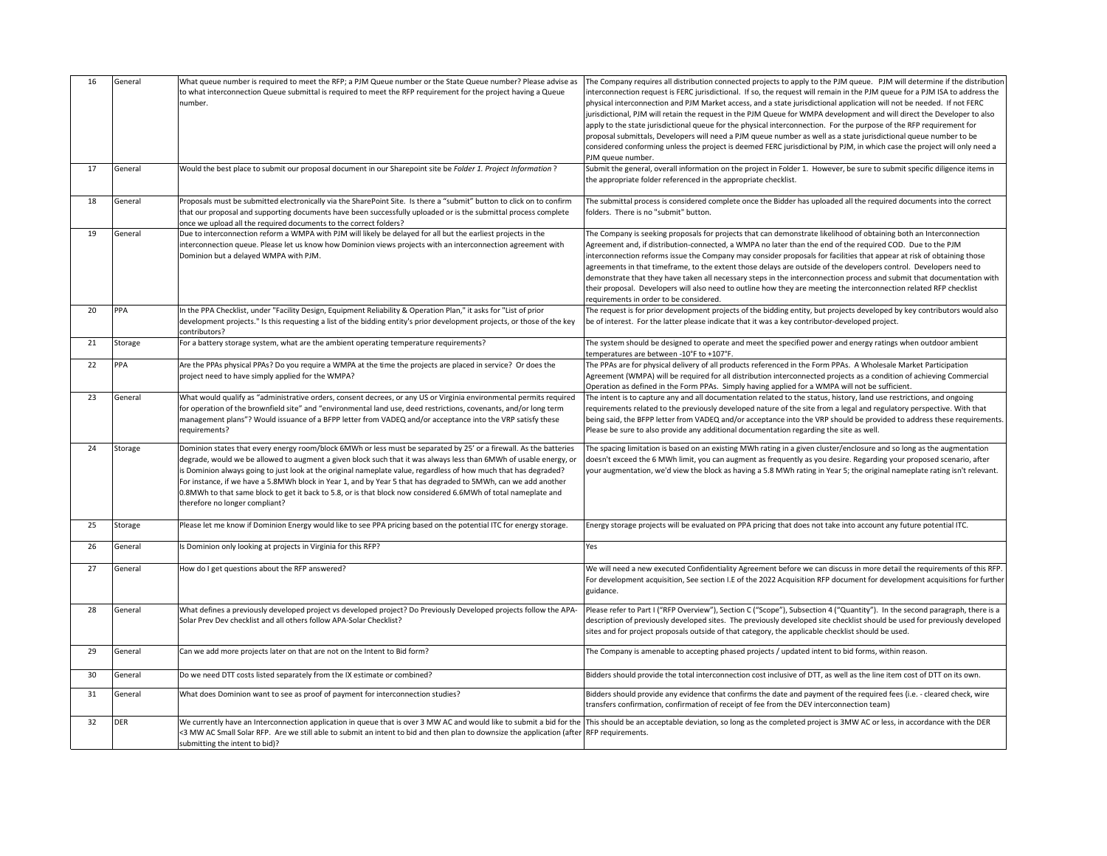| 16 | General | What queue number is required to meet the RFP; a PJM Queue number or the State Queue number? Please advise as<br>to what interconnection Queue submittal is required to meet the RFP requirement for the project having a Queue<br>number.                                                                                                                                                                                                                                                                                                                                                                                        | The Compan<br>interconnect<br>physical inte<br>jurisdictional<br>apply to the<br>proposal sub<br>considered c<br>PJM queue n |
|----|---------|-----------------------------------------------------------------------------------------------------------------------------------------------------------------------------------------------------------------------------------------------------------------------------------------------------------------------------------------------------------------------------------------------------------------------------------------------------------------------------------------------------------------------------------------------------------------------------------------------------------------------------------|------------------------------------------------------------------------------------------------------------------------------|
| 17 | General | Would the best place to submit our proposal document in our Sharepoint site be Folder 1. Project Information?                                                                                                                                                                                                                                                                                                                                                                                                                                                                                                                     | Submit the g<br>the appropri                                                                                                 |
| 18 | General | Proposals must be submitted electronically via the SharePoint Site. Is there a "submit" button to click on to confirm<br>that our proposal and supporting documents have been successfully uploaded or is the submittal process complete<br>once we upload all the required documents to the correct folders?                                                                                                                                                                                                                                                                                                                     | The submitta<br>folders. The                                                                                                 |
| 19 | General | Due to interconnection reform a WMPA with PJM will likely be delayed for all but the earliest projects in the<br>interconnection queue. Please let us know how Dominion views projects with an interconnection agreement with<br>Dominion but a delayed WMPA with PJM.                                                                                                                                                                                                                                                                                                                                                            | The Compan<br>Agreement a<br>interconnect<br>agreements<br>demonstrate<br>their proposa<br>requirement                       |
| 20 | PPA     | In the PPA Checklist, under "Facility Design, Equipment Reliability & Operation Plan," it asks for "List of prior<br>development projects." Is this requesting a list of the bidding entity's prior development projects, or those of the key<br>contributors?                                                                                                                                                                                                                                                                                                                                                                    | The request<br>be of interes                                                                                                 |
| 21 | Storage | For a battery storage system, what are the ambient operating temperature requirements?                                                                                                                                                                                                                                                                                                                                                                                                                                                                                                                                            | The system s<br>temperature                                                                                                  |
| 22 | PPA     | Are the PPAs physical PPAs? Do you require a WMPA at the time the projects are placed in service? Or does the<br>project need to have simply applied for the WMPA?                                                                                                                                                                                                                                                                                                                                                                                                                                                                | The PPAs are<br>Agreement (<br>Operation as                                                                                  |
| 23 | General | What would qualify as "administrative orders, consent decrees, or any US or Virginia environmental permits required<br>for operation of the brownfield site" and "environmental land use, deed restrictions, covenants, and/or long term<br>management plans"? Would issuance of a BFPP letter from VADEQ and/or acceptance into the VRP satisfy these<br>requirements?                                                                                                                                                                                                                                                           | The intent is<br>requirement<br>being said, th<br>Please be su                                                               |
| 24 | Storage | Dominion states that every energy room/block 6MWh or less must be separated by 25' or a firewall. As the batteries<br>degrade, would we be allowed to augment a given block such that it was always less than 6MWh of usable energy, or<br>is Dominion always going to just look at the original nameplate value, regardless of how much that has degraded?<br>For instance, if we have a 5.8MWh block in Year 1, and by Year 5 that has degraded to 5MWh, can we add another<br>0.8MWh to that same block to get it back to 5.8, or is that block now considered 6.6MWh of total nameplate and<br>therefore no longer compliant? | The spacing<br>doesn't exce<br>your augmer                                                                                   |
| 25 | Storage | Please let me know if Dominion Energy would like to see PPA pricing based on the potential ITC for energy storage.                                                                                                                                                                                                                                                                                                                                                                                                                                                                                                                | Energy stora                                                                                                                 |
| 26 | General | Is Dominion only looking at projects in Virginia for this RFP?                                                                                                                                                                                                                                                                                                                                                                                                                                                                                                                                                                    | Yes                                                                                                                          |
| 27 | General | How do I get questions about the RFP answered?                                                                                                                                                                                                                                                                                                                                                                                                                                                                                                                                                                                    | We will need<br>For developr<br>guidance.                                                                                    |
| 28 | General | What defines a previously developed project vs developed project? Do Previously Developed projects follow the APA-<br>Solar Prev Dev checklist and all others follow APA-Solar Checklist?                                                                                                                                                                                                                                                                                                                                                                                                                                         | Please refer<br>description c<br>sites and for                                                                               |
| 29 | General | Can we add more projects later on that are not on the Intent to Bid form?                                                                                                                                                                                                                                                                                                                                                                                                                                                                                                                                                         | The Compan                                                                                                                   |
| 30 | General | Do we need DTT costs listed separately from the IX estimate or combined?                                                                                                                                                                                                                                                                                                                                                                                                                                                                                                                                                          | <b>Bidders shou</b>                                                                                                          |
| 31 | General | What does Dominion want to see as proof of payment for interconnection studies?                                                                                                                                                                                                                                                                                                                                                                                                                                                                                                                                                   | <b>Bidders shou</b><br>transfers cor                                                                                         |
| 32 | DER     | We currently have an Interconnection application in queue that is over 3 MW AC and would like to submit a bid for the This should b<br><3 MW AC Small Solar RFP. Are we still able to submit an intent to bid and then plan to downsize the application (after RFP requiren<br>submitting the intent to bid)?                                                                                                                                                                                                                                                                                                                     |                                                                                                                              |

Iy requires all distribution connected projects to apply to the PJM queue. PJM will determine if the distribution tion request is FERC jurisdictional. If so, the request will remain in the PJM queue for a PJM ISA to address the pronnection and PJM Market access, and a state jurisdictional application will not be needed. If not FERC l, PJM will retain the request in the PJM Queue for WMPA development and will direct the Developer to also state jurisdictional queue for the physical interconnection. For the purpose of the RFP requirement for omittals, Developers will need a PJM queue number as well as a state jurisdictional queue number to be conforming unless the project is deemed FERC jurisdictional by PJM, in which case the project will only need a number.

general, overall information on the project in Folder 1. However, be sure to submit specific diligence items in iate folder referenced in the appropriate checklist.

al process is considered complete once the Bidder has uploaded all the required documents into the correct re is no "submit" button.

Iy is seeking proposals for projects that can demonstrate likelihood of obtaining both an Interconnection and, if distribution-connected, a WMPA no later than the end of the required COD. Due to the PJM tion reforms issue the Company may consider proposals for facilities that appear at risk of obtaining those in that timeframe, to the extent those delays are outside of the developers control. Developers need to that they have taken all necessary steps in the interconnection process and submit that documentation with al. Developers will also need to outline how they are meeting the interconnection related RFP checklist ts in order to be considered.

is for prior development projects of the bidding entity, but projects developed by key contributors would also st. For the latter please indicate that it was a key contributor-developed project.

should be designed to operate and meet the specified power and energy ratings when outdoor ambient es are between -10°F to +107°F.

for physical delivery of all products referenced in the Form PPAs. A Wholesale Market Participation (WMPA) will be required for all distribution interconnected projects as a condition of achieving Commercial defined in the Form PPAs. Simply having applied for a WMPA will not be sufficient.

to capture any and all documentation related to the status, history, land use restrictions, and ongoing ts related to the previously developed nature of the site from a legal and regulatory perspective. With that he BFPP letter from VADEQ and/or acceptance into the VRP should be provided to address these requirements. Ire to also provide any additional documentation regarding the site as well.

limitation is based on an existing MWh rating in a given cluster/enclosure and so long as the augmentation eed the 6 MWh limit, you can augment as frequently as you desire. Regarding your proposed scenario, after ntation, we'd view the block as having a 5.8 MWh rating in Year 5; the original nameplate rating isn't relevant.

ge projects will be evaluated on PPA pricing that does not take into account any future potential ITC.

I a new executed Confidentiality Agreement before we can discuss in more detail the requirements of this RFP. ment acquisition, See section I.E of the 2022 Acquisition RFP document for development acquisitions for further

to Part I ("RFP Overview"), Section C ("Scope"), Subsection 4 ("Quantity"). In the second paragraph, there is a of previously developed sites. The previously developed site checklist should be used for previously developed project proposals outside of that category, the applicable checklist should be used.

19 General Can an an interprote projects in that are not intent to bid forms, within reason.

ald provide the total interconnection cost inclusive of DTT, as well as the line item cost of DTT on its own.

ald provide any evidence that confirms the date and payment of the required fees (i.e. - cleared check, wire nfirmation, confirmation of receipt of fee from the DEV interconnection team)

be an acceptable deviation, so long as the completed project is 3MW AC or less, in accordance with the DER nents.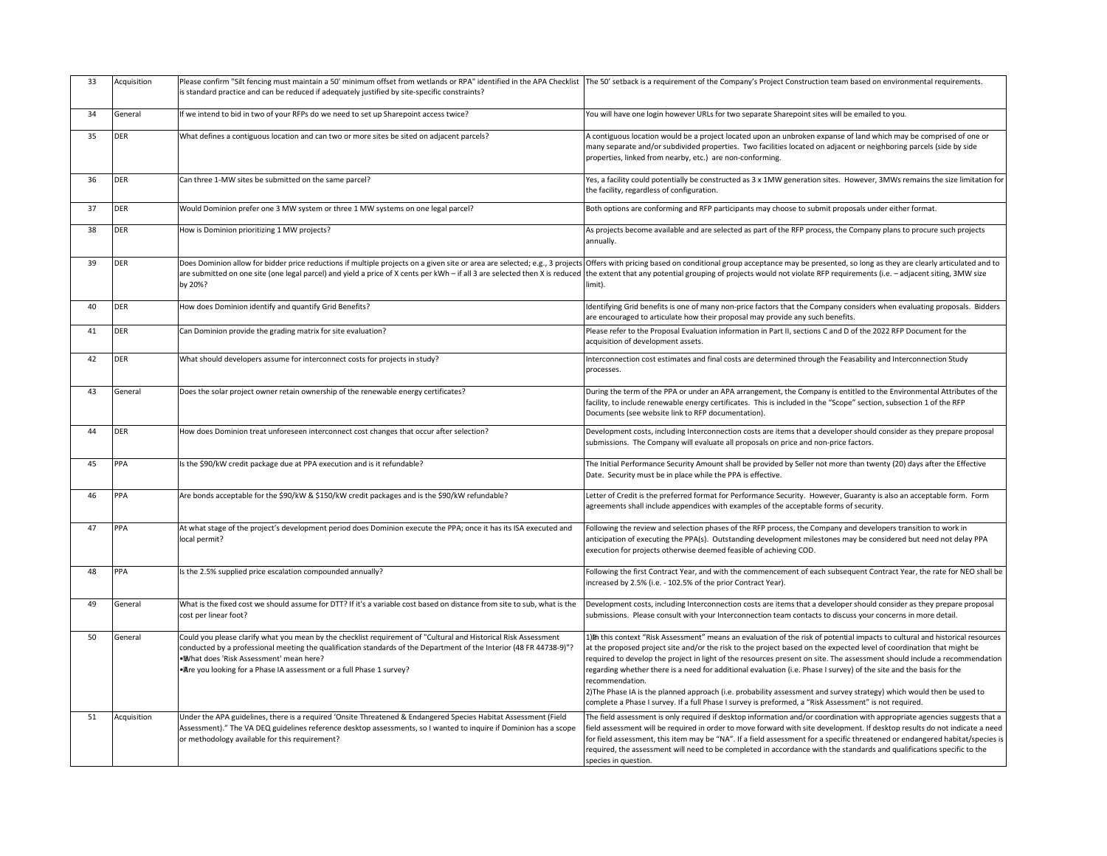| 33 | Acquisition | Please confirm "Silt fencing must maintain a 50' minimum offset from wetlands or RPA" identified in the APA Checklist The 50' setba<br>is standard practice and can be reduced if adequately justified by site-specific constraints?                                                                                                                        |                                                                                                                |
|----|-------------|-------------------------------------------------------------------------------------------------------------------------------------------------------------------------------------------------------------------------------------------------------------------------------------------------------------------------------------------------------------|----------------------------------------------------------------------------------------------------------------|
| 34 | General     | If we intend to bid in two of your RFPs do we need to set up Sharepoint access twice?                                                                                                                                                                                                                                                                       | You will have                                                                                                  |
| 35 | <b>DER</b>  | What defines a contiguous location and can two or more sites be sited on adjacent parcels?                                                                                                                                                                                                                                                                  | A contiguous<br>many separa<br>properties, li                                                                  |
| 36 | DER         | Can three 1-MW sites be submitted on the same parcel?                                                                                                                                                                                                                                                                                                       | Yes, a facility<br>the facility, re                                                                            |
| 37 | DER         | Would Dominion prefer one 3 MW system or three 1 MW systems on one legal parcel?                                                                                                                                                                                                                                                                            | <b>Both options</b>                                                                                            |
| 38 | <b>DER</b>  | How is Dominion prioritizing 1 MW projects?                                                                                                                                                                                                                                                                                                                 | As projects b<br>annually.                                                                                     |
| 39 | DER         | Does Dominion allow for bidder price reductions if multiple projects on a given site or area are selected; e.g., 3 projects Offers with p<br>are submitted on one site (one legal parcel) and yield a price of X cents per kWh - if all 3 are selected then X is reduced the extent th<br>by 20%?                                                           | limit).                                                                                                        |
| 40 | DER         | How does Dominion identify and quantify Grid Benefits?                                                                                                                                                                                                                                                                                                      | Identifying G<br>are encourag                                                                                  |
| 41 | DER         | Can Dominion provide the grading matrix for site evaluation?                                                                                                                                                                                                                                                                                                | Please refer<br>acquisition o                                                                                  |
| 42 | DER         | What should developers assume for interconnect costs for projects in study?                                                                                                                                                                                                                                                                                 | Interconnect<br>processes.                                                                                     |
| 43 | General     | Does the solar project owner retain ownership of the renewable energy certificates?                                                                                                                                                                                                                                                                         | During the te<br>facility, to ind<br>Documents (                                                               |
| 44 | <b>DER</b>  | How does Dominion treat unforeseen interconnect cost changes that occur after selection?                                                                                                                                                                                                                                                                    | Developmen<br>submissions.                                                                                     |
| 45 | PPA         | Is the \$90/kW credit package due at PPA execution and is it refundable?                                                                                                                                                                                                                                                                                    | The Initial Pe<br>Date. Securi                                                                                 |
| 46 | PPA         | Are bonds acceptable for the \$90/kW & \$150/kW credit packages and is the \$90/kW refundable?                                                                                                                                                                                                                                                              | Letter of Cre<br>agreements:                                                                                   |
| 47 | PPA         | At what stage of the project's development period does Dominion execute the PPA; once it has its ISA executed and<br>local permit?                                                                                                                                                                                                                          | Following the<br>anticipation<br>execution for                                                                 |
| 48 | PPA         | Is the 2.5% supplied price escalation compounded annually?                                                                                                                                                                                                                                                                                                  | Following the<br>increased by                                                                                  |
| 49 | General     | What is the fixed cost we should assume for DTT? If it's a variable cost based on distance from site to sub, what is the<br>cost per linear foot?                                                                                                                                                                                                           | Developmen<br>submissions.                                                                                     |
| 50 | General     | Could you please clarify what you mean by the checklist requirement of "Cultural and Historical Risk Assessment<br>conducted by a professional meeting the qualification standards of the Department of the Interior (48 FR 44738-9)"?<br>. What does 'Risk Assessment' mean here?<br>• Are you looking for a Phase IA assessment or a full Phase 1 survey? | 1) h this cont<br>at the propo:<br>required to d<br>regarding wh<br>recommenda<br>2) The Phase<br>complete a P |
| 51 | Acquisition | Under the APA guidelines, there is a required 'Onsite Threatened & Endangered Species Habitat Assessment (Field<br>Assessment)." The VA DEQ guidelines reference desktop assessments, so I wanted to inquire if Dominion has a scope<br>or methodology available for this requirement?                                                                      | The field ass<br>field assessm<br>for field asse<br>required, the<br>species in qu                             |

ack is a requirement of the Company's Project Construction team based on environmental requirements.

one login however URLs for two separate Sharepoint sites will be emailed to you.

location would be a project located upon an unbroken expanse of land which may be comprised of one or ate and/or subdivided properties. Two facilities located on adjacent or neighboring parcels (side by side nked from nearby, etc.) are non-conforming.

could potentially be constructed as 3 x 1MW generation sites. However, 3MWs remains the size limitation for egardless of configuration.

are conforming and RFP participants may choose to submit proposals under either format.

become available and are selected as part of the RFP process, the Company plans to procure such projects

oricing based on conditional group acceptance may be presented, so long as they are clearly articulated and to hat any potential grouping of projects would not violate RFP requirements (i.e. – adjacent siting, 3MW size

Frid benefits is one of many non-price factors that the Company considers when evaluating proposals. Bidders ed to articulate how their proposal may provide any such benefits.

to the Proposal Evaluation information in Part II, sections C and D of the 2022 RFP Document for the f development assets.

tion cost estimates and final costs are determined through the Feasability and Interconnection Study

erm of the PPA or under an APA arrangement, the Company is entitled to the Environmental Attributes of the facility, to include the energy certificates. This is included in the "Scope" section, subsection 1 of the RFP (see website link to RFP documentation).

1t costs, including Interconnection costs are items that a developer should consider as they prepare proposal The Company will evaluate all proposals on price and non-price factors.

erformance Security Amount shall be provided by Seller not more than twenty (20) days after the Effective ity must be in place while the PPA is effective.

dit is the preferred format for Performance Security. However, Guaranty is also an acceptable form. Formetter shall include appendices with examples of the acceptable forms of security.

e review and selection phases of the RFP process, the Company and developers transition to work in of executing the PPA(s). Outstanding development milestones may be considered but need not delay PPA projects otherwise deemed feasible of achieving COD.

e first Contract Year, and with the commencement of each subsequent Contract Year, the rate for NEO shall be If 2.5% (i.e. - 102.5% of the prior Contract Year).

nt costs, including Interconnection costs are items that a developer should consider as they prepare proposal Please consult with your Interconnection team contacts to discuss your concerns in more detail.

text "Risk Assessment" means an evaluation of the risk of potential impacts to cultural and historical resources sed project site and/or the risk to the project based on the expected level of coordination that might be develop the project in light of the resources present on site. The assessment should include a recommendation rether there is a need for additional evaluation (i.e. Phase I survey) of the site and the basis for the ation.

IA is the planned approach (i.e. probability assessment and survey strategy) which would then be used to Phase I survey. If a full Phase I survey is preformed, a "Risk Assessment" is not required.

essment is only required if desktop information and/or coordination with appropriate agencies suggests that a ient will be required in order to move forward with site development. If desktop results do not indicate a need essment, this item may be "NA". If a field assessment for a specific threatened or endangered habitat/species is assessment will need to be completed in accordance with the standards and qualifications specific to the estion.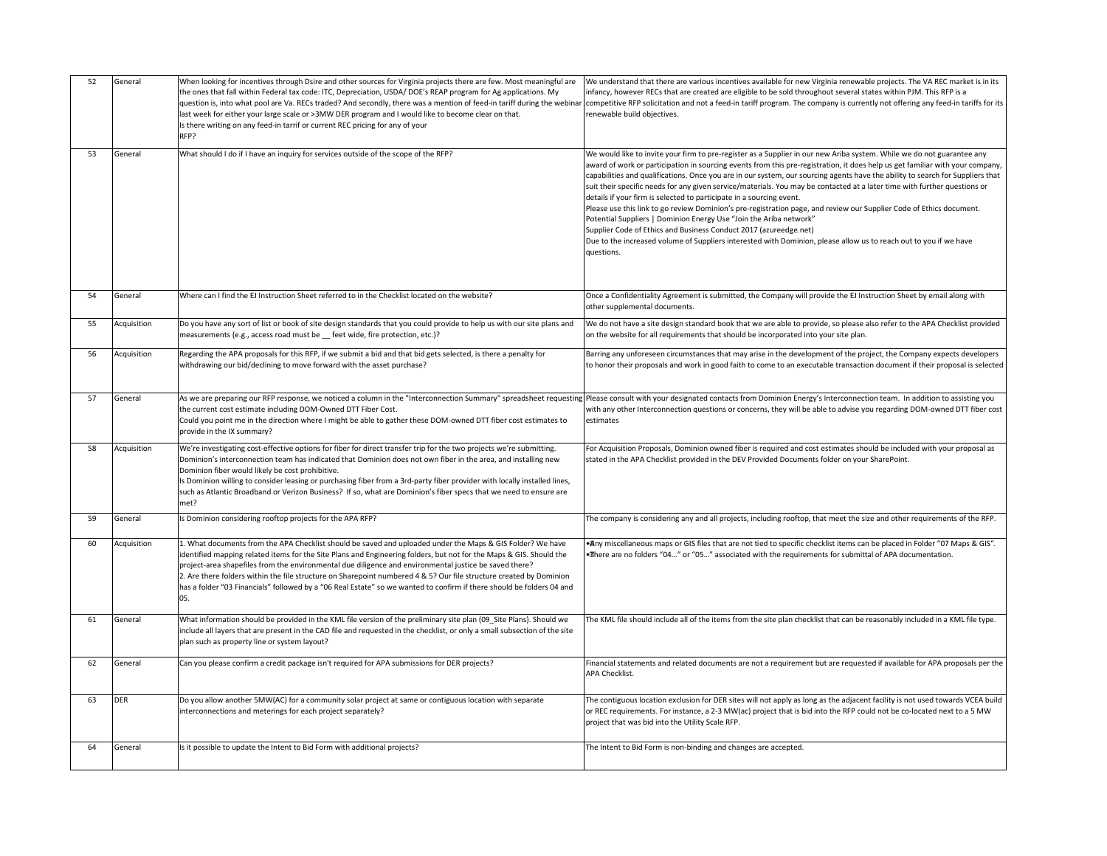| 52 | General     | When looking for incentives through Dsire and other sources for Virginia projects there are few. Most meaningful are<br>the ones that fall within Federal tax code: ITC, Depreciation, USDA/DOE's REAP program for Ag applications. My<br>question is, into what pool are Va. RECs traded? And secondly, there was a mention of feed-in tariff during the webinar competitive<br>last week for either your large scale or >3MW DER program and I would like to become clear on that.<br>Is there writing on any feed-in tarrif or current REC pricing for any of your<br>RFP?                      | We understa<br>infancy, how<br>renewable b                                                                                                                                |
|----|-------------|----------------------------------------------------------------------------------------------------------------------------------------------------------------------------------------------------------------------------------------------------------------------------------------------------------------------------------------------------------------------------------------------------------------------------------------------------------------------------------------------------------------------------------------------------------------------------------------------------|---------------------------------------------------------------------------------------------------------------------------------------------------------------------------|
| 53 | General     | What should I do if I have an inquiry for services outside of the scope of the RFP?                                                                                                                                                                                                                                                                                                                                                                                                                                                                                                                | We would lik<br>award of wo<br>capabilities a<br>suit their spe<br>details if you<br>Please use th<br><b>Potential Sup</b><br>Supplier Cod<br>Due to the in<br>questions. |
| 54 | General     | Where can I find the EJ Instruction Sheet referred to in the Checklist located on the website?                                                                                                                                                                                                                                                                                                                                                                                                                                                                                                     | Once a Confi<br>other supple                                                                                                                                              |
| 55 | Acquisition | Do you have any sort of list or book of site design standards that you could provide to help us with our site plans and<br>measurements (e.g., access road must be _ feet wide, fire protection, etc.)?                                                                                                                                                                                                                                                                                                                                                                                            | We do not ha<br>on the websi                                                                                                                                              |
| 56 | Acquisition | Regarding the APA proposals for this RFP, if we submit a bid and that bid gets selected, is there a penalty for<br>withdrawing our bid/declining to move forward with the asset purchase?                                                                                                                                                                                                                                                                                                                                                                                                          | Barring any u<br>to honor the                                                                                                                                             |
| 57 | General     | As we are preparing our RFP response, we noticed a column in the "Interconnection Summary" spreadsheet requesting Please consu<br>the current cost estimate including DOM-Owned DTT Fiber Cost.<br>Could you point me in the direction where I might be able to gather these DOM-owned DTT fiber cost estimates to<br>provide in the IX summary?                                                                                                                                                                                                                                                   | with any oth<br>estimates                                                                                                                                                 |
| 58 | Acquisition | We're investigating cost-effective options for fiber for direct transfer trip for the two projects we're submitting.<br>Dominion's interconnection team has indicated that Dominion does not own fiber in the area, and installing new<br>Dominion fiber would likely be cost prohibitive.<br>Is Dominion willing to consider leasing or purchasing fiber from a 3rd-party fiber provider with locally installed lines,<br>such as Atlantic Broadband or Verizon Business? If so, what are Dominion's fiber specs that we need to ensure are<br>met?                                               | For Acquisiti<br>stated in the                                                                                                                                            |
| 59 | General     | Is Dominion considering rooftop projects for the APA RFP?                                                                                                                                                                                                                                                                                                                                                                                                                                                                                                                                          | The compan                                                                                                                                                                |
| 60 | Acquisition | 1. What documents from the APA Checklist should be saved and uploaded under the Maps & GIS Folder? We have<br>identified mapping related items for the Site Plans and Engineering folders, but not for the Maps & GIS. Should the<br>project-area shapefiles from the environmental due diligence and environmental justice be saved there?<br>2. Are there folders within the file structure on Sharepoint numbered 4 & 5? Our file structure created by Dominion<br>has a folder "03 Financials" followed by a "06 Real Estate" so we wanted to confirm if there should be folders 04 and<br>05. | • Any miscell<br>•There are n                                                                                                                                             |
| 61 | General     | What information should be provided in the KML file version of the preliminary site plan (09_Site Plans). Should we<br>include all layers that are present in the CAD file and requested in the checklist, or only a small subsection of the site<br>plan such as property line or system layout?                                                                                                                                                                                                                                                                                                  | The KML file                                                                                                                                                              |
| 62 | General     | Can you please confirm a credit package isn't required for APA submissions for DER projects?                                                                                                                                                                                                                                                                                                                                                                                                                                                                                                       | Financial stat<br><b>APA Checklis</b>                                                                                                                                     |
| 63 | <b>DER</b>  | Do you allow another 5MW(AC) for a community solar project at same or contiguous location with separate<br>interconnections and meterings for each project separately?                                                                                                                                                                                                                                                                                                                                                                                                                             | The contiguo<br>or REC requir<br>project that                                                                                                                             |
| 64 | General     | Is it possible to update the Intent to Bid Form with additional projects?                                                                                                                                                                                                                                                                                                                                                                                                                                                                                                                          | The Intent to                                                                                                                                                             |

and that there are various incentives available for new Virginia renewable projects. The VA REC market is in its vever RECs that are created are eligible to be sold throughout several states within PJM. This RFP is a RFP solicitation and not a feed-in tariff program. The company is currently not offering any feed-in tariffs for its ouild objectives.

ke to invite your firm to pre-register as a Supplier in our new Ariba system. While we do not guarantee any ork or participation in sourcing events from this pre-registration, it does help us get familiar with your company, and qualifications. Once you are in our system, our sourcing agents have the ability to search for Suppliers that ecific needs for any given service/materials. You may be contacted at a later time with further questions or ar firm is selected to participate in a sourcing event.

his link to go review Dominion's pre-registration page, and review our Supplier Code of Ethics document.

ppliers | Dominion Energy Use "Join the Ariba network"

de of Ethics and Business Conduct 2017 (azureedge.net)

ncreased volume of Suppliers interested with Dominion, please allow us to reach out to you if we have

5. Fidentiality Agreement is submitted, the Company will provide the EJ Instruction Sheet by email along with emental documents.

ave a site design standard book that we are able to provide, so please also refer to the APA Checklist provided ite for all requirements that should be incorporated into your site plan.

unforeseen circumstances that may arise in the development of the project, the Company expects developers eir proposals and work in good faith to come to an executable transaction document if their proposal is selected

alt with your designated contacts from Dominion Energy's Interconnection team. In addition to assisting you ner Interconnection questions or concerns, they will be able to advise you regarding DOM-owned DTT fiber cost

ion Proposals, Dominion owned fiber is required and cost estimates should be included with your proposal as : APA Checklist provided in the DEV Provided Documents folder on your SharePoint.

Iy is considering any and all projects, including rooftop, that meet the size and other requirements of the RFP.

laneous maps or GIS files that are not tied to specific checklist items can be placed in Folder "07 Maps & GIS". o folders "04..." or "05..." associated with the requirements for submittal of APA documentation.

should include all of the items from the site plan checklist that can be reasonably included in a KML file type.

tements and related documents are not a requirement but are requested if available for APA proposals per the st.

ous location exclusion for DER sites will not apply as long as the adjacent facility is not used towards VCEA build irements. For instance, a 2-3 MW(ac) project that is bid into the RFP could not be co-located next to a 5 MW was bid into the Utility Scale RFP.

Bid Form is non-binding and changes are accepted.